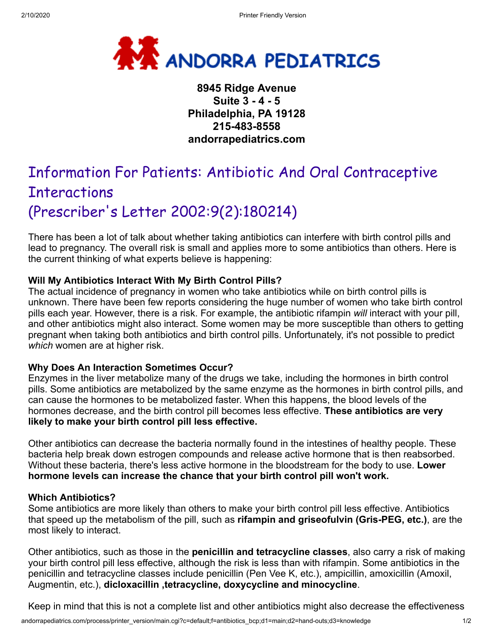

## **8945 Ridge Avenue Suite 3 - 4 - 5 Philadelphia, PA 19128 215-483-8558 andorrapediatrics.com**

# Information For Patients: Antibiotic And Oral Contraceptive **Interactions** (Prescriber's Letter 2002:9(2):180214)

There has been a lot of talk about whether taking antibiotics can interfere with birth control pills and lead to pregnancy. The overall risk is small and applies more to some antibiotics than others. Here is the current thinking of what experts believe is happening:

### **Will My Antibiotics Interact With My Birth Control Pills?**

The actual incidence of pregnancy in women who take antibiotics while on birth control pills is unknown. There have been few reports considering the huge number of women who take birth control pills each year. However, there is a risk. For example, the antibiotic rifampin *will* interact with your pill, and other antibiotics might also interact. Some women may be more susceptible than others to getting pregnant when taking both antibiotics and birth control pills. Unfortunately, it's not possible to predict *which* women are at higher risk.

#### **Why Does An Interaction Sometimes Occur?**

Enzymes in the liver metabolize many of the drugs we take, including the hormones in birth control pills. Some antibiotics are metabolized by the same enzyme as the hormones in birth control pills, and can cause the hormones to be metabolized faster. When this happens, the blood levels of the hormones decrease, and the birth control pill becomes less effective. **These antibiotics are very likely to make your birth control pill less effective.**

Other antibiotics can decrease the bacteria normally found in the intestines of healthy people. These bacteria help break down estrogen compounds and release active hormone that is then reabsorbed. Without these bacteria, there's less active hormone in the bloodstream for the body to use. **Lower hormone levels can increase the chance that your birth control pill won't work.**

#### **Which Antibiotics?**

Some antibiotics are more likely than others to make your birth control pill less effective. Antibiotics that speed up the metabolism of the pill, such as **rifampin and griseofulvin (Gris-PEG, etc.)**, are the most likely to interact.

Other antibiotics, such as those in the **penicillin and tetracycline classes**, also carry a risk of making your birth control pill less effective, although the risk is less than with rifampin. Some antibiotics in the penicillin and tetracycline classes include penicillin (Pen Vee K, etc.), ampicillin, amoxicillin (Amoxil, Augmentin, etc.), **dicloxacillin ,tetracycline, doxycycline and minocycline**.

Keep in mind that this is not a complete list and other antibiotics might also decrease the effectiveness